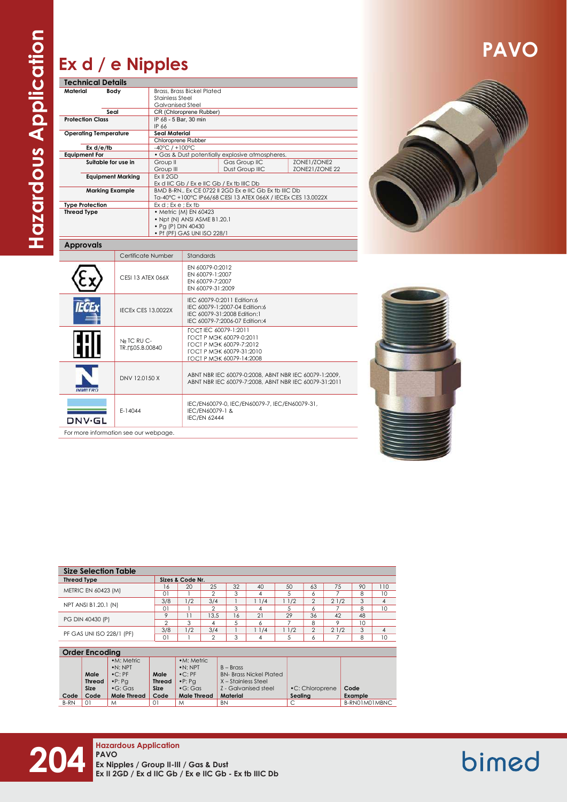## PAVO

## Ex d / e Nipples

| <b>Technical Details</b>     |                          |                                                                                                     |                                                               |                                                       |                |  |  |  |
|------------------------------|--------------------------|-----------------------------------------------------------------------------------------------------|---------------------------------------------------------------|-------------------------------------------------------|----------------|--|--|--|
| Material                     | Body                     | <b>Brass, Brass Bickel Plated</b>                                                                   |                                                               |                                                       |                |  |  |  |
|                              |                          | <b>Stainless Steel</b><br><b>Galvanised Steel</b><br>CR (Chloroprene Rubber)                        |                                                               |                                                       |                |  |  |  |
|                              | Seal                     |                                                                                                     |                                                               |                                                       |                |  |  |  |
| <b>Protection Class</b>      |                          | IP 68 - 5 Bar, 30 min                                                                               |                                                               |                                                       |                |  |  |  |
|                              |                          | IP 66                                                                                               |                                                               |                                                       |                |  |  |  |
| <b>Operating Temperature</b> |                          | <b>Seal Material</b>                                                                                |                                                               |                                                       |                |  |  |  |
|                              |                          | Chloroprene Rubber                                                                                  |                                                               |                                                       |                |  |  |  |
| Ex d/e/tb                    |                          | $-40^{\circ}$ C / $+100^{\circ}$ C                                                                  |                                                               |                                                       |                |  |  |  |
| <b>Equipment For</b>         |                          | • Gas & Dust potentially explosive atmospheres.                                                     |                                                               |                                                       |                |  |  |  |
|                              | Suitable for use in      | Group II                                                                                            |                                                               | Gas Group IIC                                         | ZONE1/ZONE2    |  |  |  |
|                              | <b>Equipment Marking</b> | Group III<br>Ex II 2GD                                                                              |                                                               | Dust Group IIIC                                       | ZONE21/ZONE 22 |  |  |  |
|                              |                          |                                                                                                     |                                                               |                                                       |                |  |  |  |
| <b>Marking Example</b>       |                          | Ex d IIC Gb / Ex e IIC Gb / Ex tb IIIC Db<br>BMD B-RN., Ex CE 0722 II 2GD Ex e IIC Gb Ex tb IIIC Db |                                                               |                                                       |                |  |  |  |
|                              |                          |                                                                                                     | Ta-40°C +100°C IP66/68 CESI 13 ATEX 066X / IECEx CES 13.0022X |                                                       |                |  |  |  |
| <b>Type Protection</b>       |                          | $Ex d$ ; $Ex e$ ; $Ex tb$                                                                           |                                                               |                                                       |                |  |  |  |
| <b>Thread Type</b>           |                          | • Metric (M) EN 60423                                                                               |                                                               |                                                       |                |  |  |  |
|                              |                          | • Npt (N) ANSI ASME B1.20.1                                                                         |                                                               |                                                       |                |  |  |  |
|                              |                          | • Pg (P) DIN 40430<br>• Pf (PF) GAS UNI ISO 228/1                                                   |                                                               |                                                       |                |  |  |  |
| <b>Approvals</b>             |                          |                                                                                                     |                                                               |                                                       |                |  |  |  |
|                              |                          | Certificate Number                                                                                  | <b>Standards</b>                                              |                                                       |                |  |  |  |
|                              |                          |                                                                                                     |                                                               |                                                       |                |  |  |  |
|                              |                          |                                                                                                     |                                                               |                                                       |                |  |  |  |
|                              |                          |                                                                                                     | EN 60079-0:2012<br>EN 60079-1:2007                            |                                                       |                |  |  |  |
|                              | <b>CESI 13 ATEX 066X</b> |                                                                                                     | EN 60079-7:2007                                               |                                                       |                |  |  |  |
|                              |                          |                                                                                                     | EN 60079-31:2009                                              |                                                       |                |  |  |  |
|                              |                          |                                                                                                     |                                                               | IEC 60079-0:2011 Edition:6                            |                |  |  |  |
|                              |                          |                                                                                                     |                                                               | IEC 60079-1:2007-04 Edition:6                         |                |  |  |  |
|                              |                          | <b>IECEX CES 13.0022X</b>                                                                           |                                                               | IEC 60079-31:2008 Edition:1                           |                |  |  |  |
|                              |                          |                                                                                                     |                                                               | IEC 60079-7:2006-07 Edition:4                         |                |  |  |  |
|                              |                          |                                                                                                     |                                                               | FOCT IEC 60079-1:2011                                 |                |  |  |  |
|                              | Nº TC RU C-              |                                                                                                     |                                                               | ГОСТ Р МЭК 60079-0:2011                               |                |  |  |  |
|                              | TR. F605.B.00840         |                                                                                                     |                                                               | FOCT P M <sub>3</sub> K 60079-7:2012                  |                |  |  |  |
|                              |                          |                                                                                                     |                                                               | ГОСТ Р МЭК 60079-31:2010                              |                |  |  |  |
|                              |                          |                                                                                                     |                                                               | ГОСТ Р МЭК 60079-14:2008                              |                |  |  |  |
|                              |                          |                                                                                                     |                                                               |                                                       |                |  |  |  |
|                              | DNV 12.0150 X            |                                                                                                     |                                                               | ABNT NBR IEC 60079-0:2008, ABNT NBR IEC 60079-1:2009, |                |  |  |  |
| <b>INMETRO</b>               |                          |                                                                                                     |                                                               | ABNT NBR IEC 60079-7:2008, ABNT NBR IEC 60079-31:2011 |                |  |  |  |
|                              |                          |                                                                                                     |                                                               |                                                       |                |  |  |  |
|                              |                          |                                                                                                     |                                                               | IEC/EN60079-0, IEC/EN60079-7, IEC/EN60079-31,         |                |  |  |  |
| DNV-GL                       | E-14044                  |                                                                                                     | IEC/EN60079-1 &<br><b>IEC/EN 62444</b>                        |                                                       |                |  |  |  |





| <b>Size Selection Table</b> |                  |     |      |    |     |      |                |      |    |     |
|-----------------------------|------------------|-----|------|----|-----|------|----------------|------|----|-----|
| <b>Thread Type</b>          | Sizes & Code Nr. |     |      |    |     |      |                |      |    |     |
|                             | 16               | 20  | 25   | 32 | 40  | 50   | 63             | 75   | 90 | 110 |
| <b>METRIC EN 60423 (M)</b>  | $\Omega$         |     | ◠    | G  |     |      | Ô              |      | 8  | 10  |
| NPT ANSI B1.20.1 (N)        | 3/8              | 1/2 | 3/4  |    | 1/4 | 11/2 | $\mathfrak{D}$ | 21/2 | 3  |     |
|                             | $\Omega$         |     | ◠    | s  |     |      | Ô              |      | 8  | 10  |
| PG DIN 40430 (P)            | $\circ$          |     | 13.5 | 6  | 21  | 29   | 36             | 42   | 48 |     |
|                             | $\Omega$         | っ   | 4    |    |     |      | 8              |      | 10 |     |
| PF GAS UNI ISO 228/1 (PF)   | 3/8              | 1/2 | 3/4  |    | 1/4 | 11/2 | $\mathfrak{D}$ | 21/2 | 3  |     |
|                             | $\Omega$         |     | ◠    | 3  |     |      | o              |      | 8  | 10  |

| <b>Order Encoding</b> |               |                    |               |                    |                                |                        |               |  |  |  |
|-----------------------|---------------|--------------------|---------------|--------------------|--------------------------------|------------------------|---------------|--|--|--|
|                       |               | •M: Metric         |               | •M: Metric         |                                |                        |               |  |  |  |
|                       |               | $\bullet$ N: NPT   |               | $\bullet N$ : NPT  | $B - Br$ css                   |                        |               |  |  |  |
|                       | Male          | $\bullet$ C: PF    | Male          | $\bullet$ C: PF    | <b>BN- Brass Nickel Plated</b> |                        |               |  |  |  |
|                       | <b>Thread</b> | $\cdot$ P: Pa      | <b>Thread</b> | $\cdot$ P: Pa      | X – Stainless Steel            |                        |               |  |  |  |
|                       | <b>Size</b>   | $\bullet$ G: Gas   | <b>Size</b>   | $\bullet$ G: Gas   | Z - Galvanised steel           | $\cdot$ C: Chloroprene | Code          |  |  |  |
| Code                  | Code          | <b>Male Thread</b> | Code          | <b>Male Thread</b> | <b>Material</b>                | Sealing                | Example       |  |  |  |
| B-RN                  | 01            | M                  | 01            | M                  | <b>BN</b>                      |                        | B-RN01M01MBNC |  |  |  |